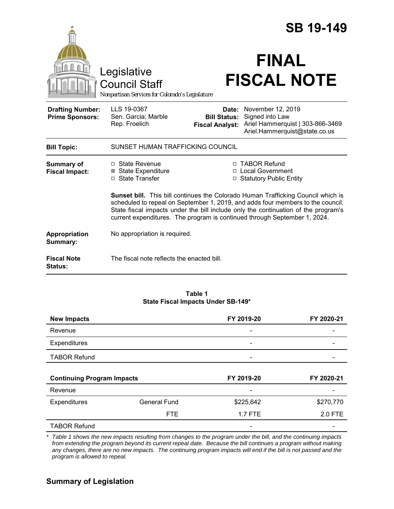|                                                   |                                                                                                                                                                                                                                                                                                                                               |                                                        | <b>SB 19-149</b>                                                                                          |  |
|---------------------------------------------------|-----------------------------------------------------------------------------------------------------------------------------------------------------------------------------------------------------------------------------------------------------------------------------------------------------------------------------------------------|--------------------------------------------------------|-----------------------------------------------------------------------------------------------------------|--|
|                                                   | Legislative<br><b>Council Staff</b><br>Nonpartisan Services for Colorado's Legislature                                                                                                                                                                                                                                                        |                                                        | <b>FINAL</b><br><b>FISCAL NOTE</b>                                                                        |  |
| <b>Drafting Number:</b><br><b>Prime Sponsors:</b> | LLS 19-0367<br>Sen. Garcia; Marble<br>Rep. Froelich                                                                                                                                                                                                                                                                                           | Date:<br><b>Bill Status:</b><br><b>Fiscal Analyst:</b> | November 12, 2019<br>Signed into Law<br>Ariel Hammerquist   303-866-3469<br>Ariel.Hammerquist@state.co.us |  |
| <b>Bill Topic:</b>                                | SUNSET HUMAN TRAFFICKING COUNCIL                                                                                                                                                                                                                                                                                                              |                                                        |                                                                                                           |  |
| <b>Summary of</b><br><b>Fiscal Impact:</b>        | □ State Revenue<br><b>⊠ State Expenditure</b><br>□ State Transfer                                                                                                                                                                                                                                                                             |                                                        | □ TABOR Refund<br>□ Local Government<br>□ Statutory Public Entity                                         |  |
|                                                   | <b>Sunset bill.</b> This bill continues the Colorado Human Trafficking Council which is<br>scheduled to repeal on September 1, 2019, and adds four members to the council.<br>State fiscal impacts under the bill include only the continuation of the program's<br>current expenditures. The program is continued through September 1, 2024. |                                                        |                                                                                                           |  |
| Appropriation<br>Summary:                         | No appropriation is required.                                                                                                                                                                                                                                                                                                                 |                                                        |                                                                                                           |  |
| <b>Fiscal Note</b><br><b>Status:</b>              | The fiscal note reflects the enacted bill.                                                                                                                                                                                                                                                                                                    |                                                        |                                                                                                           |  |

### **Table 1 State Fiscal Impacts Under SB-149\***

| <b>New Impacts</b>                |                     | FY 2019-20               | FY 2020-21 |
|-----------------------------------|---------------------|--------------------------|------------|
| Revenue                           |                     |                          |            |
| Expenditures                      |                     | $\overline{\phantom{a}}$ |            |
| <b>TABOR Refund</b>               |                     |                          |            |
|                                   |                     |                          |            |
| <b>Continuing Program Impacts</b> |                     | FY 2020-21<br>FY 2019-20 |            |
| Revenue                           |                     |                          |            |
| Expenditures                      | <b>General Fund</b> | \$225,642                | \$270,770  |
|                                   |                     |                          |            |
|                                   | <b>FTE</b>          | 1.7 FTE                  | 2.0 FTE    |

*\* Table 1 shows the new impacts resulting from changes to the program under the bill, and the continuing impacts from extending the program beyond its current repeal date. Because the bill continues a program without making any changes, there are no new impacts. The continuing program impacts will end if the bill is not passed and the program is allowed to repeal.*

# **Summary of Legislation**